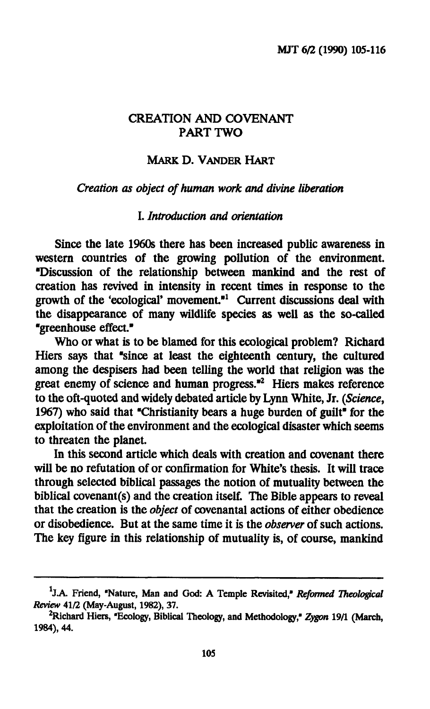## **CREATION AND COVENANT PART TWO**

### **MARK D. VANDER HART**

#### *Creation as object of human work and divine liberation*

### **I.** *Introduction and orientation*

**Since the late 1960s there has been increased public awareness in western countries of the growing pollution of the environment. •Discussion of the relationship between mankind and the rest of creation has revived in intensity in recent times in response to the growth of the 'ecological' movement."<sup>1</sup> Current discussions deal with the disappearance of many wildlife species as well as the so-called "greenhouse effect."** 

**Who or what is to be blamed for this ecological problem? Richard Hiers says that "since at least the eighteenth century, the cultured among the despisers had been telling the world that religion was the great enemy of science and human progress."<sup>2</sup> Hiers makes reference to the oft-quoted and widely debated article by Lynn White, Jr.** *{Science^*  **1967) who said that "Christianity bears a huge burden of guilt" for the exploitation of the environment and the ecological disaster which seems to threaten the planet.** 

**In this second article which deals with creation and covenant there will be no refutation of or confirmation for White's thesis. It will trace through selected biblical passages the notion of mutuality between the biblical covenant(s) and the creation itself. The Bible appears to reveal that the creation is the** *object* **of covenantal actions of either obedience or disobedience. But at the same time it is the** *observer* **of such actions. The key figure in this relationship of mutuality is, of course, mankind** 

<sup>&</sup>lt;sup>1</sup>J.A. Friend, "Nature, Man and God: A Temple Revisited," Reformed Theological *Review* 41/2 (May-August, 1982), 37.

<sup>2</sup>Richard Hiers, "Ecology, Biblical Theology, and Methodology," *Zygon* 19/1 (March, 1984), 44.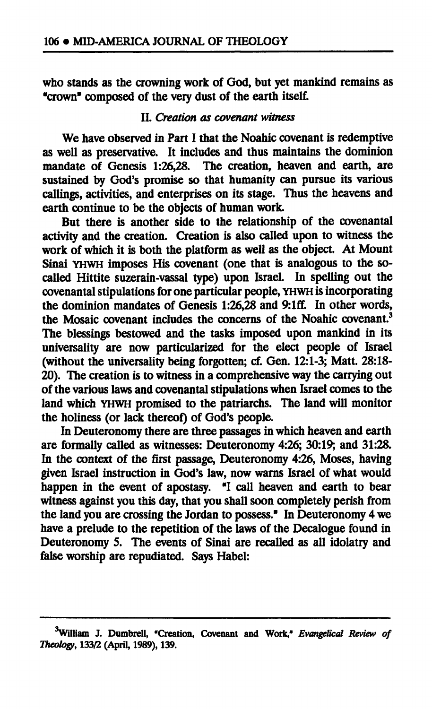**who stands as the crowning work of God, but yet mankind remains as "crown" composed of the very dust of the earth itself.** 

### **II.** *Creation as covenant witness*

**We have observed in Part I that the Noahic covenant is redemptive as well as preservative. It includes and thus maintains the dominion mandate of Genesis 1:26,28. The creation, heaven and earth, are sustained by God's promise so that humanity can pursue its various callings, activities, and enterprises on its stage. Thus the heavens and earth continue to be the objects of human work.** 

**But there is another side to the relationship of the covenantal activity and the creation. Creation is also called upon to witness the work of which it is both the platform as well as the object. At Mount Sinai YHWH imposes His covenant (one that is analogous to the socalled Hittite suzerain-vassal type) upon Israel. In spelling out the covenantal stipulations for one particular people, YHWH is incorporating the dominion mandates of Genesis 1:26,28 and 9:lff. In other words, the Mosaic covenant includes the concerns of the Noahic covenant.<sup>3</sup> The blessings bestowed and the tasks imposed upon mankind in its universality are now particularized for the elect people of Israel (without the universality being forgotten; cf. Gen. 12:1-3; Matt. 28:18- 20). The creation is to witness in a comprehensive way the carrying out of the various laws and covenantal stipulations when Israel comes to the land which YHWH promised to the patriarchs. The land will monitor the holiness (or lack thereof) of God's people.** 

**In Deuteronomy there are three passages in which heaven and earth are formally called as witnesses: Deuteronomy 4:26; 30:19; and 31:28. In the context of the first passage, Deuteronomy 4:26, Moses, having given Israel instruction in God's law, now warns Israel of what would happen in the event of apostasy. "I call heaven and earth to bear witness against you this day, that you shall soon completely perish from the land you are crossing the Jordan to possess." In Deuteronomy 4 we have a prelude to the repetition of the laws of the Decalogue found in Deuteronomy 5. The events of Sinai are recalled as all idolatry and false worship are repudiated. Says Habel:** 

**<sup>3</sup>William J. Dumbrell, "Creation, Covenant and Work,"** *Evangelical Review of Theology,* **133/2 (April, 1989), 139.**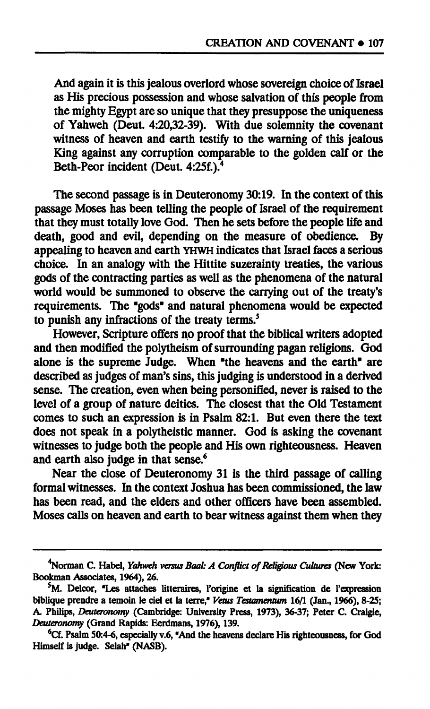**And again it is this jealous overlord whose sovereign choice of Israel as His precious possession and whose salvation of this people from the mighty Egypt are so unique that they presuppose the uniqueness of Yahweh (Deut. 4:20,32-39). With due solemnity the covenant witness of heaven and earth testify to the warning of this jealous King against any corruption comparable to the golden calf or the Beth-Peor incident (Deut. 4:25f.).<sup>4</sup>**

**The second passage is in Deuteronomy 30:19. In the context of this passage Moses has been telling the people of Israel of the requirement that they must totally love God. Then he sets before the people life and death, good and evil, depending on the measure of obedience. By appealing to heaven and earth YHWH indicates that Israel faces a serious choice. In an analogy with the Hittite suzerainty treaties, the various gods of the contracting parties as well as the phenomena of the natural world would be summoned to observe the carrying out of the treaty's requirements. The "gods" and natural phenomena would be expected to punish any infractions of the treaty terms.<sup>5</sup>**

**However, Scripture offers no proof that the biblical writers adopted and then modified the polytheism of surrounding pagan religions. God alone is the supreme Judge. When "the heavens and the earth" are described as judges of man's sins, this judging is understood in a derived sense. The creation, even when being personified, never is raised to the level of a group of nature deities. The closest that the Old Testament comes to such an expression is in Psalm 82:1. But even there the text does not speak in a polytheistic manner. God is asking the covenant witnesses to judge both the people and His own righteousness. Heaven and earth also judge in that sense.<sup>6</sup>**

**Near the close of Deuteronomy 31 is the third passage of calling formal witnesses. In the context Joshua has been commissioned, the law has been read, and the elders and other officers have been assembled. Moses calls on heaven and earth to bear witness against them when they** 

**Gorman C. Habel,** *Yahweh versus Baal: A Conflict of Religious Cultures* **(New York: Bookman Associates, 1964), 26.** 

**<sup>S</sup>M. Delcor, "Les attaches littéraires, l'origine et la signification de l'expression biblique prendre a témoin le ciel et la terre,"** *Vêtus Testamentum 16/1* **(Jan., 1966), 8-25; A. Philips,** *Deuteronomy* **(Cambridge: University Press, 1973), 36-37; Peter C. Craigie,**  *Deuteronomy* **(Grand Rapids: Eerdmans, 1976), 139.** 

**<sup>6</sup>Cf. Psalm 50:4-6, especially v.6, "And the heavens declare His righteousness, for God Himself is judge. Selah" (NASB).**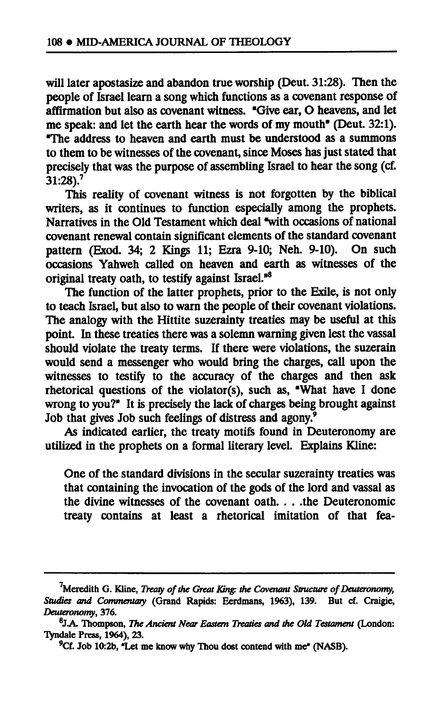**will later apostasize and abandon true worship (Deut. 31:28). Then the people of Israel learn a song which functions as a covenant response of affirmation but also as covenant witness. "Give ear, O heavens, and let me speak: and let the earth hear the words of my mouth" (Deut. 32:1). "The address to heaven and earth must be understood as a summons to them to be witnesses of the covenant, since Moses has just stated that precisely that was the purpose of assembling Israel to hear the song (cf. 31:28).<sup>7</sup>**

**This reality of covenant witness is not forgotten by the biblical writers, as it continues to function especially among the prophets. Narratives in the Old Testament which deal "with occasions of national covenant renewal contain significant elements of the standard covenant pattern (Exod. 34; 2 Kings 11; Ezra 9-10; Neh. 9-10). On such occasions Yahweh called on heaven and earth as witnesses of the original treaty oath, to testify against Israel."<sup>8</sup>**

**The function of the latter prophets, prior to the Exile, is not only to teach Israel, but also to warn the people of their covenant violations. The analogy with the Hittite suzerainty treaties may be useful at this point. In these treaties there was a solemn warning given lest the vassal should violate the treaty terms. If there were violations, the suzerain would send a messenger who would bring the charges, call upon the witnesses to testify to the accuracy of the charges and then ask rhetorical questions of the violator(s), such as, "What have I done wrong to you?" It is precisely the lack of charges being brought against Job that gives Job such feelings of distress and agony.<sup>9</sup>**

**As indicated earlier, the treaty motifs found in Deuteronomy are utilized in the prophets on a formal literary level. Explains Kline:** 

**One of the standard divisions in the secular suzerainty treaties was that containing the invocation of the gods of the lord and vassal as the divine witnesses of the covenant oath. . . .the Deuteronomic treaty contains at least a rhetorical imitation of that fea-**

**Meredith G. Kline,** *Treaty of the Great King: the Covenant Structure of Deuteronomy, Studies and Commentary* **(Grand Rapids: Eerdmans, 1963), 139. But cf. Craigie,**  *Deuteronomy,* **376.** 

**<sup>8</sup> J.A. Thompson,** *The Ancient Near Eastern Treaties and the Old Testament* **(London: Tyndale Press, 1964), 23.** 

**<sup>9</sup>Cf. Job 10:2b, "Let me know why Thou dost contend with me" (NASB).**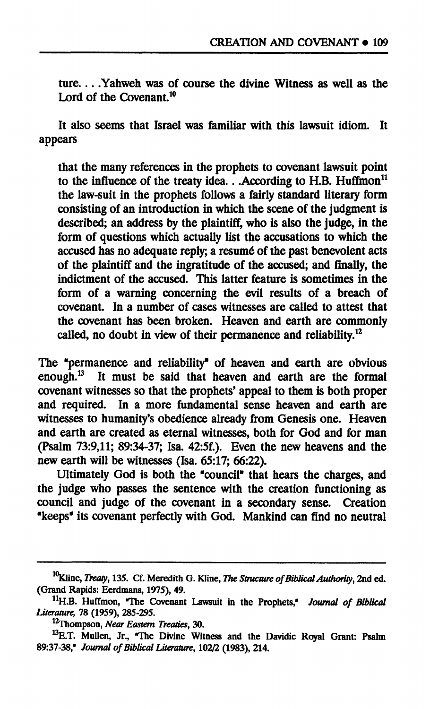ture....Yahweh was of course the divine Witness as well as the **Lord of the Covenant.<sup>10</sup>**

**It also seems that Israel was familiar with this lawsuit idiom. It appears** 

**that the many references in the prophets to covenant lawsuit point to the influence of the treaty idea.. .According to H.B. Huffmon<sup>11</sup> the law-suit in the prophets follows a fairly standard literary form consisting of an introduction in which the scene of the judgment is described; an address by the plaintiff, who is also the judge, in the form of questions which actually list the accusations to which the accused has no adequate reply; a resumé of the past benevolent acts of the plaintiff and the ingratitude of the accused; and finally, the indictment of the accused. This latter feature is sometimes in the form of a warning concerning the evil results of a breach of covenant. In a number of cases witnesses are called to attest that the covenant has been broken. Heaven and earth are commonly called, no doubt in view of their permanence and reliability.<sup>12</sup>**

**The "permanence and reliability" of heaven and earth are obvious enough.<sup>13</sup> It must be said that heaven and earth are the formal covenant witnesses so that the prophets' appeal to them is both proper and required. In a more fundamental sense heaven and earth are witnesses to humanity's obedience already from Genesis one. Heaven and earth are created as eternal witnesses, both for God and for man (Psalm 73:9,11; 89:34-37; Isa. 42:5f.). Even the new heavens and the new earth will be witnesses (Isa. 65:17; 66:22).** 

**Ultimately God is both the "council" that hears the charges, and the judge who passes the sentence with the creation functioning as council and judge of the covenant in a secondary sense. Creation "keeps" its covenant perfectly with God. Mankind can find no neutral** 

**<sup>10</sup>Kline,** *Treaty,* **135. Cf. Meredith G. Kline,** *The Structure of Biblical Authority,* **2nd ed. (Grand Rapids: Eerdmans, 1975), 49.** 

**<sup>n</sup>H.B. Huffmon, "The Covenant Lawsuit in the Prophets,"** *Journal of Biblical Literature,* **78 (1959), 285-295.** 

**<sup>12</sup>Thompson,** *Near Eastern Treaties,* **30.** 

**<sup>13</sup>E.T. Mullen, Jr., "The Divine Witness and the Davidic Royal Grant: Psalm 89:37-38,"** *Journal of Biblical Literature,* **102/2 (1983), 214.**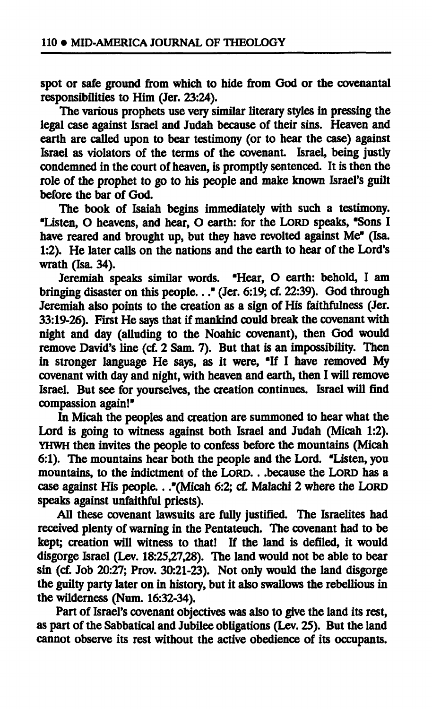**spot or safe ground from which to hide from God or the covenantal responsibilities to Him (Jer. 23:24).** 

**The various prophets use veiy similar literary styles in pressing the legal case against Israel and Judah because of their sins. Heaven and earth are called upon to bear testimony (or to hear the case) against Israel as violators of the terms of the covenant. Israel, being justly condemned in the court of heaven, is promptly sentenced. It is then the role of the prophet to go to his people and make known Israel's guilt before the bar of God.** 

**The book of Isaiah begins immediately with such a testimony. "Listen, O heavens, and hear, O earth: for the LORD speaks, "Sons I have reared and brought up, but they have revolted against Me" (Isa. 1:2). He later calls on the nations and the earth to hear of the Lord's wrath (Isa. 34).** 

**Jeremiah speaks similar words. "Hear, O earth: behold, I am bringing disaster on this people..." (Jer. 6:19; cf. 22:39). God through Jeremiah also points to the creation as a sign of His faithfulness (Jer. 33:19-26). First He says that if mankind could break the covenant with night and day (alluding to the Noahic covenant), then God would remove David's line (cf. 2 Sam. 7). But that is an impossibility. Then in stronger language He says, as it were, "If I have removed My covenant with day and night, with heaven and earth, then I will remove Israel. But see for yourselves, the creation continues. Israel will find compassion again!"** 

**In Micah the peoples and creation are summoned to hear what the Lord is going to witness against both Israel and Judah (Micah 1:2). YHWH then invites the people to confess before the mountains (Micah 6:1). The mountains hear both the people and the Lord. "Listen, you mountains, to the indictment of the LORD. . .because the LORD has a case against His people.. ."(Micah 6:2; cf. Malachi 2 where the LORD speaks against unfaithful priests).** 

**All these covenant lawsuits are fully justified. The Israelites had received plenty of warning in the Pentateuch. The covenant had to be kept; creation will witness to that! If the land is defiled, it would disgorge Israel (Lev. 18:25,27,28). The land would not be able to bear sin (cf. Job 20:27; Prov. 30:21-23). Not only would the land disgorge the guilty party later on in history, but it also swallows the rebellious in the wilderness (Num. 16:32-34).** 

**Part of Israel's covenant objectives was also to give the land its rest, as part of the Sabbatical and Jubilee obligations (Lev. 25). But the land cannot observe its rest without the active obedience of its occupants.**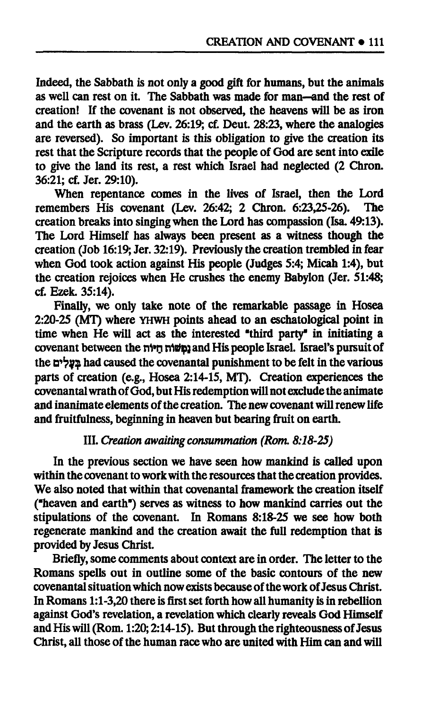**Indeed, the Sabbath is not only a good gift for humans, but the animals as well can rest on it. The Sabbath was made for man—and the rest of creation! If the covenant is not observed, the heavens will be as iron and the earth as brass (Lev. 26:19; cf. Deut. 28:23, where the analogies are reversed). So important is this obligation to give the creation its rest that the Scripture records that the people of God are sent into exile to give the land its rest, a rest which Israel had neglected (2 Chron. 36:21; cf. Jer. 29:10).** 

When repentance comes in the lives of Israel, then the Lord eembers His covenant (Lev. 26:42: 2 Chron. 6:23.25-26). The **remembers His covenant (Lev. 26:42; 2 Chron. 6:23,25-26). creation breaks into singing when the Lord has compassion (Isa. 49:13). The Lord Himself has always been present as a witness though the creation (Job 16:19; Jer. 32:19). Previously the creation trembled in fear when God took action against His people (Judges 5:4; Micah 1:4), but the creation rejoices when He crushes the enemy Babylon (Jer. 51:48; cf. Ezek. 35:14).** 

**Finally, we only take note of the remarkable passage in Hosea 2:20-25 (MT) where YHWH points ahead to an eschatological point in time when He will act as the interested "third party" in initiating a covenant between the n1»n nltiç] and His people Israel. Israel's pursuit of the D^v? bad caused the covenantal punishment to be felt in the various parts of creation (e.g., Hosea 2:14-15, MT). Creation experiences the covenantal wrath of God, but His redemption will not exclude the animate and inanimate elements of the creation. The new covenant will renew life and fruitfulness, beginning in heaven but bearing fruit on earth.** 

# **III.** *Creation awaiting consummation (Rom. 8:18-25)*

**In the previous section we have seen how mankind is called upon within the covenant to work with the resources that the creation provides. We also noted that within that covenantal framework the creation itself ("heaven and earth") serves as witness to how mankind carries out the stipulations of the covenant. In Romans 8:18-25 we see how both regenerate mankind and the creation await the full redemption that is provided by Jesus Christ.** 

**Briefly, some comments about context are in order. The letter to the Romans spells out in outline some of the basic contours of the new covenantal situation which now exists because of the work of Jesus Christ. In Romans 1:1-3,20 there is first set forth how all humanity is in rebellion against God's revelation, a revelation which clearly reveals God Himself and His will (Rom. 1:20; 2:14-15). But through the righteousness of Jesus Christ, all those of the human race who are united with Him can and will**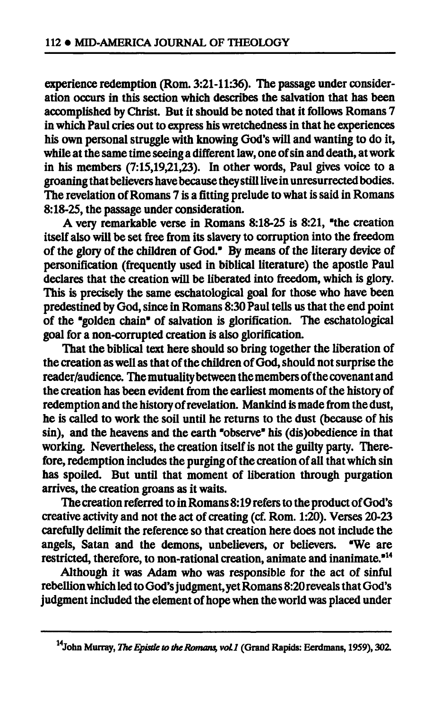**experience redemption (Rom. 3:21-11:36). The passage under consideration occurs in this section which describes the salvation that has been accomplished by Christ. But it should be noted that it follows Romans 7 in which Paul cries out to express his wretchedness in that he experiences his own personal struggle with knowing God's will and wanting to do it, while at the same time seeing a different law, one of sin and death, at work in his members (7:15,19,21,23). In other words, Paul gives voice to a groaning that believers have because they still live in unresurrected bodies. The revelation of Romans 7 is a fitting prelude to what is said in Romans 8:18-25, the passage under consideration.** 

**A very remarkable verse in Romans 8:18-25 is 8:21, "the creation itself also will be set free from its slavery to corruption into the freedom**  of the glory of the children of God." By means of the literary device of **personification (frequently used in biblical literature) the apostle Paul declares that the creation will be liberated into freedom, which is glory. This is precisely the same eschatological goal for those who have been predestined by God, since in Romans 8:30 Paul tells us that the end point of the "golden chain" of salvation is glorification. The eschatological goal for a non-corrupted creation is also glorification.** 

**That the biblical text here should so bring together the liberation of the creation as well as that of the children of God, should not surprise the reader/audience. The mutuality between the members of the covenant and the creation has been evident from the earliest moments of the history of redemption and the history of revelation. Mankind is made from the dust, he is called to work the soil until he returns to the dust (because of his sin), and the heavens and the earth "observe" his (dis)obedience in that working. Nevertheless, the creation itself is not the guilty party. Therefore, redemption includes the purging of the creation of all that which sin has spoiled. But until that moment of liberation through purgation arrives, the creation groans as it waits.** 

**The creation referred to in Romans 8:19 refers to the product of God's creative activity and not the act of creating (cf. Rom. 1:20). Verses 20-23 carefully delimit the reference so that creation here does not include the angels, Satan and the demons, unbelievers, or believers. "We are restricted, therefore, to non-rational creation, animate and inanimate."<sup>14</sup>**

**Although it was Adam who was responsible for the act of sinful rebellion which led to God's judgment, yet Romans 8:20 reveals that God's judgment included the element of hope when the world was placed under** 

**John Murray,** *The Epistle to the Romans, voll* **(Grand Rapids: Eerdmans, 1959), 302.**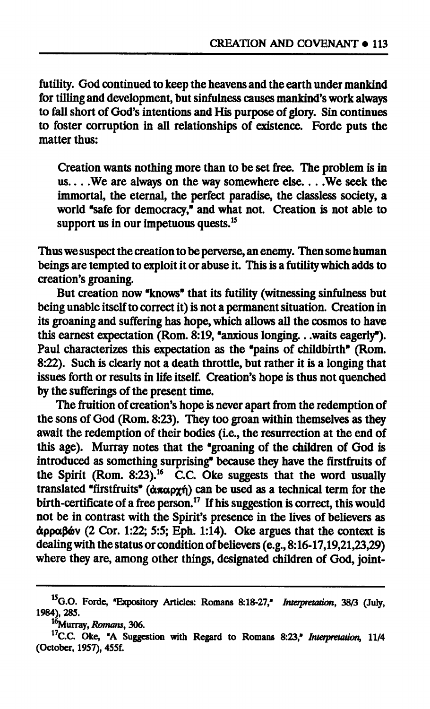**futility. God continued to keep the heavens and the earth under mankind for tilling and development, but sinfulness causes mankind's work always to fall short of God's intentions and His purpose of glory. Sin continues to foster corruption in all relationships of existence. Forde puts the matter thus:** 

**Creation wants nothing more than to be set free. The problem is in us... .We are always on the way somewhere else... .We seek the immortal, the eternal, the perfect paradise, the classless society, a world "safe for democracy," and what not. Creation is not able to support us in our impetuous quests.<sup>15</sup>**

**Thus we suspect the creation to be perverse, an enemy. Then some human beings are tempted to exploit it or abuse it. This is a futility which adds to creation's groaning.** 

**But creation now "knows" that its futility (witnessing sinfulness but being unable itself to correct it) is not a permanent situation. Creation in its groaning and suffering has hope, which allows all the cosmos to have this earnest expectation (Rom. 8:19, "anxious longing.. .waits eagerly"). Paul characterizes this expectation as the "pains of childbirth" (Rom. 8:22). Such is clearly not a death throttle, but rather it is a longing that issues forth or results in life itself. Creation's hope is thus not quenched by the sufferings of the present time.** 

**The fruition of creation's hope is never apart from the redemption of the sons of God (Rom. 8:23). They too groan within themselves as they await the redemption of their bodies (i.e., the resurrection at the end of this age). Murray notes that the "groaning of the children of God is introduced as something surprising" because they have the firstfruits of the Spirit (Rom. 8:23).<sup>16</sup> CC. Oke suggests that the word usually translated "firstfruits" (απαρχή) can be used as a technical term for the birth-certificate of a free person. 17 If his suggestion is correct, this would not be in contrast with the Spirit's presence in the lives of believers as άρραβών (2 Cor. 1:22; 5:5; Eph. 1:14). Oke argues that the context is dealing with the status or condition of believers (e.g., 8:16-17,19,21,23,29) where they are, among other things, designated children of God, joint-**

**G.O. Forde, "Expository Articles: Romans 8:18-27,"** *Interpretation,* **38/3 (July, 1984), 285.** 

**<sup>16</sup>Murray,** *Romans,* **306.** 

**<sup>17</sup>C.C. Oke, "A Suggestion with Regard to Romans 8:23,"** *Interpretation,* **11/4 (October, 1957), 455f.**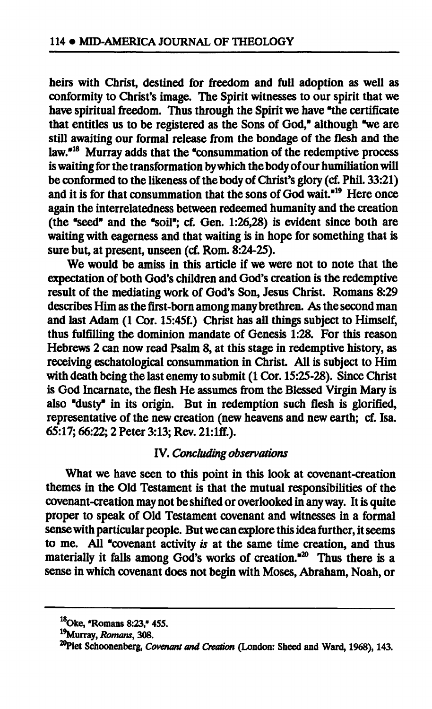**heirs with Christ, destined for freedom and full adoption as well as conformity to Christ's image. The Spirit witnesses to our spirit that we have spiritual freedom. Thus through the Spirit we have "the certificate that entitles us to be registered as the Sons of God," although "we are still awaiting our formal release from the bondage of the flesh and the law."<sup>18</sup> Murray adds that the "consummation of the redemptive process is waiting for the transformation by which the body of our humiliation will**  be conformed to the likeness of the body of Christ's glory (cf. Phil. 33:21) **and it is for that consummation that the sons of God wait."<sup>19</sup> Here once again the interrelatedness between redeemed humanity and the creation (the "seed" and the "soil"; cf. Gen. 1:26,28) is evident since both are waiting with eagerness and that waiting is in hope for something that is sure but, at present, unseen (cf. Rom. 8:24-25).** 

**We would be amiss in this article if we were not to note that the expectation of both God's children and God's creation is the redemptive result of the mediating work of God's Son, Jesus Christ. Romans 8:29 describes Him as the first-born among many brethren. As the second man and last Adam (1 Cor. 15:45f.) Christ has all things subject to Himself, thus fulfilling the dominion mandate of Genesis 1:28. For this reason Hebrews 2 can now read Psalm 8, at this stage in redemptive history, as receiving eschatological consummation in Christ. All is subject to Him with death being the last enemy to submit (1 Cor. 15:25-28). Since Christ is God Incarnate, the flesh He assumes from the Blessed Virgin Mary is also "dusty" in its origin. But in redemption such flesh is glorified, representative of the new creation (new heavens and new earth; cf. Isa. 65:17; 66:22; 2 Peter 3:13; Rev. 21:lff.).** 

# **IV.** *Concluding observations*

**What we have seen to this point in this look at covenant-creation themes in the Old Testament is that the mutual responsibilities of the covenant-creation may not be shifted or overlooked in any way. It is quite proper to speak of Old Testament covenant and witnesses in a formal sense with particular people. But we can explore this idea further, it seems to me. All "covenant activity** *is* **at the same time creation, and thus materially it falls among God's works of creation."<sup>20</sup> Thus there is a sense in which covenant does not begin with Moses, Abraham, Noah, or** 

**<sup>18</sup>Oke, "Romans 8:23," 455.** 

**<sup>19</sup>Murray,** *Romans,* **308.** 

<sup>&</sup>lt;sup>20</sup>Piet Schoonenberg, *Covenant and Creation* (London: Sheed and Ward, 1968), 143.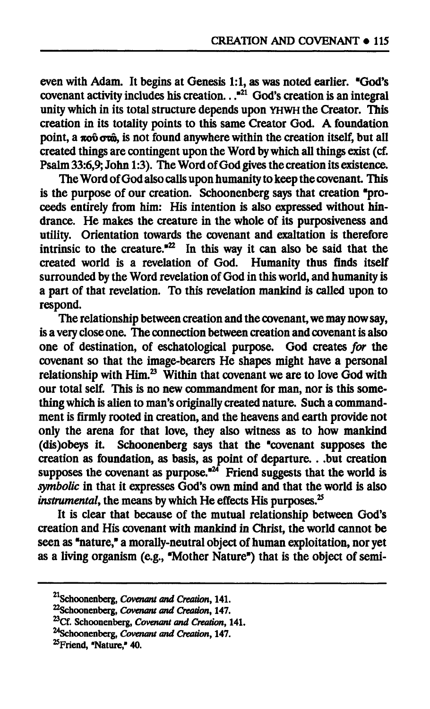**even with Adam. It begins at Genesis 1:1, as was noted earlier. "God's covenant activity includes his creation.. ."<sup>21</sup> God's creation is an integral unity which in its total structure depends upon YHWH the Creator. This creation in its totality points to this same Creator God. A foundation point, a πούστώ, is not found anywhere within the creation itself, but all created things are contingent upon the Word by which all things exist (cf. Psalm 33:6,9; John 1:3). The Word of God gives the creation its existence.** 

**The Word of God also calls upon humanity to keep the covenant. This is the purpose of our creation. Schoonenberg says that creation "proceeds entirely from him: His intention is also expressed without hindrance. He makes the creature in the whole of its purposiveness and utility. Orientation towards the covenant and exaltation is therefore**  intrinsic to the creature.<sup> $22$ </sup> In this way it can also be said that the **created world is a revelation of God. Humanity thus finds itself surrounded by the Word revelation of God in this world, and humanity is a part of that revelation. To this revelation mankind is called upon to respond.** 

**The relationship between creation and the covenant, we may now say, is a very close one. The connection between creation and covenant is also one of destination, of eschatological purpose. God creates** *for* **the covenant so that the image-bearers He shapes might have a personal relationship with Him.<sup>23</sup> Within that covenant we are to love God with our total self. This is no new commandment for man, nor is this something which is alien to man's originally created nature. Such a commandment is firmly rooted in creation, and the heavens and earth provide not only the arena for that love, they also witness as to how mankind (dis)obeys it. Schoonenberg says that the "covenant supposes the creation as foundation, as basis, as point of departure. . .but creation supposes the covenant as purpose."<sup>24</sup> Friend suggests that the world is**  symbolic in that it expresses God's own mind and that the world is also *instrumental*, the means by which He effects His purposes.<sup>25</sup>

**It is clear that because of the mutual relationship between God's creation and His covenant with mankind in Christ, the world cannot be seen as "nature," a morally-neutral object of human exploitation, nor yet as a living organism (e.g., "Mother Nature") that is the object of semi-**

**Schoonenberg,** *Covenant and Creation,* **141.** 

**Schoonenberg,** *Covenant and Creation,* **147.** 

**<sup>^</sup>Cf. Schoonenberg,** *Covenant and Creation,* **141.** 

**<sup>^</sup>Schoonenberg,** *Covenant and Creation,* **147.** 

**<sup>^</sup>Friend, "Nature," 40.**